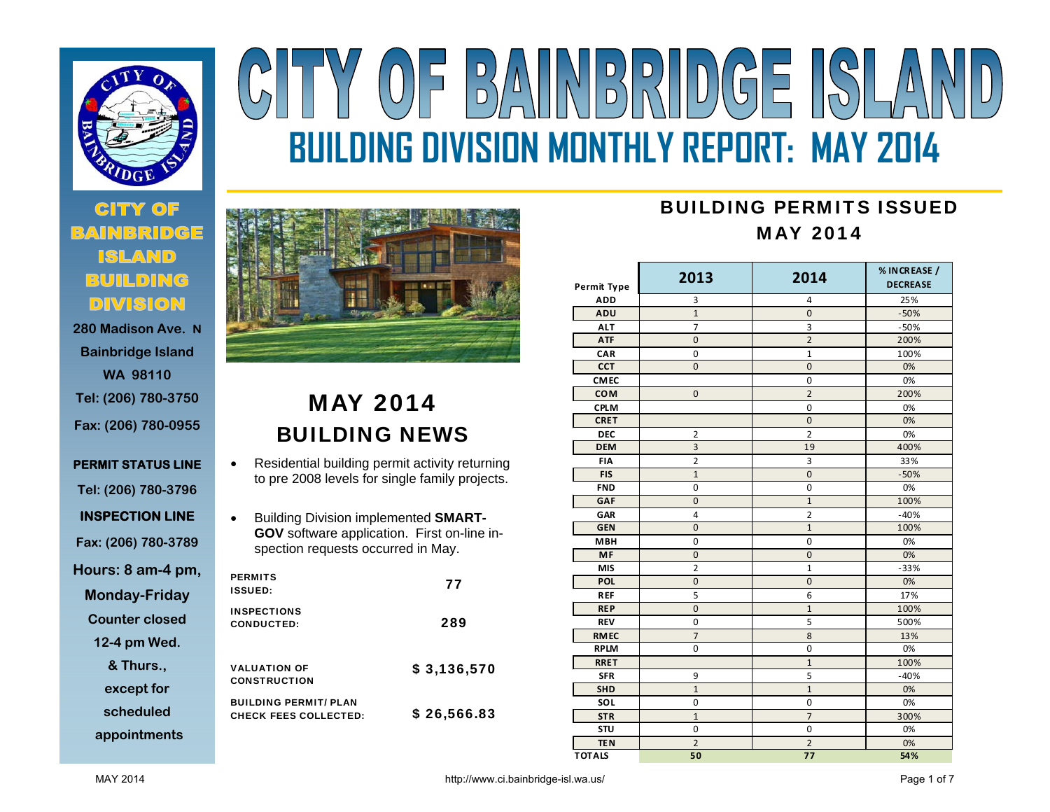

# **280 Madison Ave. N**

- **Bainbridge Island WA 98110 Tel: (206) 780-3750 Fax: (206) 780-0955**
- **PERMIT STATUS LINE Tel: (206) 780-3796 INSPECTION LINE Fax: (206) 780-3789 Hours: 8 am-4 pm, Monday-Friday Counter closed**

**12-4 pm Wed.** 

**& Thurs., except for** 

**scheduled** 

**appointments**

## BAINBRIDGE ISLA  $(0)$ **BUILDING DIVISION MONTHLY REPORT: MAY 2014**



### MAY 2014 BUILDING NEWS

- $\bullet$  Residential building permit activity returning to pre 2008 levels for single family projects.
- $\bullet$  Building Division implemented **SMART-GOV** software application. First on-line inspection requests occurred in May.

| <b>PERMITS</b><br><b>ISSUED:</b>                             | 77          |
|--------------------------------------------------------------|-------------|
| <b>INSPECTIONS</b><br>CONDUCTED:                             | 289         |
| <b>VALUATION OF</b><br><b>CONSTRUCTION</b>                   | \$3,136,570 |
| <b>BUILDING PERMIT/ PLAN</b><br><b>CHECK FEES COLLECTED:</b> | \$26,566.83 |

#### BUILDING PERMITS ISSUEDMAY 2014

| <b>Permit Type</b> | 2013                    | 2014           | % IN CREASE /<br><b>DECREASE</b> |
|--------------------|-------------------------|----------------|----------------------------------|
| <b>ADD</b>         | 3                       | $\overline{4}$ | 25%                              |
| ADU                | $\mathbf{1}$            | $\overline{0}$ | $-50%$                           |
| <b>ALT</b>         | $\overline{7}$          | 3              | $-50%$                           |
| <b>ATF</b>         | $\overline{0}$          | $\overline{2}$ | 200%                             |
| CAR                | 0                       | $\mathbf{1}$   | 100%                             |
| <b>CCT</b>         | $\mathbf 0$             | $\mathbf 0$    | 0%                               |
| <b>CMEC</b>        |                         | 0              | 0%                               |
| <b>COM</b>         | $\overline{0}$          | $\overline{2}$ | 200%                             |
| <b>CPLM</b>        |                         | $\mathbf 0$    | 0%                               |
| <b>CRET</b>        |                         | $\mathbf 0$    | 0%                               |
| <b>DEC</b>         | $\overline{\mathbf{c}}$ | $\overline{2}$ | 0%                               |
| <b>DEM</b>         | 3                       | 19             | 400%                             |
| <b>FIA</b>         | $\overline{2}$          | 3              | 33%                              |
| <b>FIS</b>         | $\mathbf{1}$            | $\mathbf{0}$   | $-50%$                           |
| <b>FND</b>         | 0                       | $\mathbf 0$    | 0%                               |
| <b>GAF</b>         | $\overline{0}$          | $\mathbf{1}$   | 100%                             |
| GAR                | 4                       | $\overline{2}$ | $-40%$                           |
| <b>GEN</b>         | $\overline{0}$          | $\overline{1}$ | 100%                             |
| <b>MBH</b>         | 0                       | 0              | 0%                               |
| <b>MF</b>          | $\overline{0}$          | $\overline{0}$ | 0%                               |
| <b>MIS</b>         | $\overline{2}$          | $\mathbf{1}$   | $-33%$                           |
| <b>POL</b>         | $\overline{0}$          | $\mathbf 0$    | 0%                               |
| <b>REF</b>         | 5                       | 6              | 17%                              |
| <b>REP</b>         | $\overline{0}$          | $\mathbf{1}$   | 100%                             |
| <b>REV</b>         | 0                       | 5              | 500%                             |
| <b>RMEC</b>        | $\overline{7}$          | 8              | 13%                              |
| <b>RPLM</b>        | 0                       | $\mathbf 0$    | 0%                               |
| <b>RRET</b>        |                         | $\mathbf{1}$   | 100%                             |
| <b>SFR</b>         | 9                       | 5              | $-40%$                           |
| <b>SHD</b>         | $\mathbf{1}$            | $\overline{1}$ | 0%                               |
| SOL                | 0                       | 0              | 0%                               |
| <b>STR</b>         | $\mathbf{1}$            | $\overline{7}$ | 300%                             |
| STU                | $\mathbf 0$             | $\mathbf 0$    | 0%                               |
| <b>TEN</b>         | $\overline{2}$          | $\overline{2}$ | 0%                               |
| <b>TOTALS</b>      | 50                      | 77             | 54%                              |

MAY 2014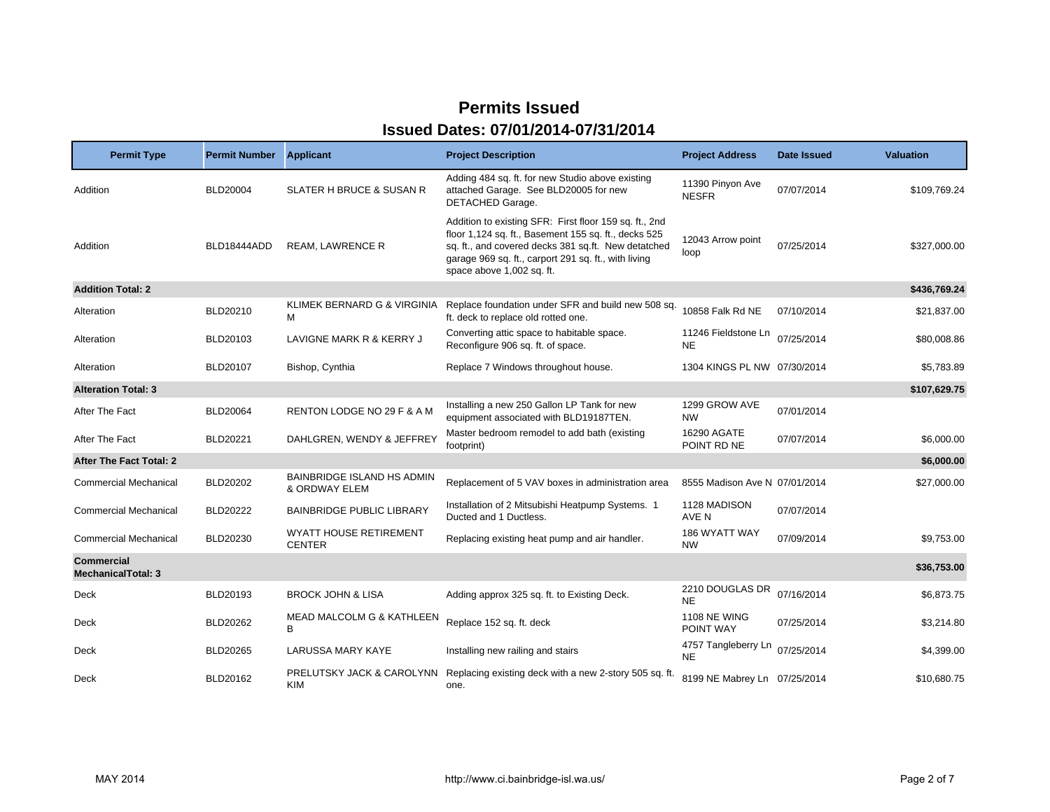| <b>Permit Type</b>                             | <b>Permit Number</b> | <b>Applicant</b>                                   | <b>Project Description</b>                                                                                                                                                                                                                                 | <b>Project Address</b>           | Date Issued | <b>Valuation</b> |
|------------------------------------------------|----------------------|----------------------------------------------------|------------------------------------------------------------------------------------------------------------------------------------------------------------------------------------------------------------------------------------------------------------|----------------------------------|-------------|------------------|
| Addition                                       | <b>BLD20004</b>      | SLATER H BRUCE & SUSAN R                           | Adding 484 sq. ft. for new Studio above existing<br>attached Garage. See BLD20005 for new<br>DETACHED Garage.                                                                                                                                              | 11390 Pinyon Ave<br><b>NESFR</b> | 07/07/2014  | \$109,769.24     |
| Addition                                       | BLD18444ADD          | <b>REAM, LAWRENCE R</b>                            | Addition to existing SFR: First floor 159 sq. ft., 2nd<br>floor 1,124 sq. ft., Basement 155 sq. ft., decks 525<br>sq. ft., and covered decks 381 sq.ft. New detatched<br>garage 969 sq. ft., carport 291 sq. ft., with living<br>space above 1,002 sq. ft. | 12043 Arrow point<br>loop        | 07/25/2014  | \$327,000.00     |
| <b>Addition Total: 2</b>                       |                      |                                                    |                                                                                                                                                                                                                                                            |                                  |             | \$436,769.24     |
| Alteration                                     | BLD20210             | KLIMEK BERNARD G & VIRGINIA<br>м                   | Replace foundation under SFR and build new 508 sq.<br>ft. deck to replace old rotted one.                                                                                                                                                                  | 10858 Falk Rd NE                 | 07/10/2014  | \$21,837.00      |
| Alteration                                     | BLD20103             | LAVIGNE MARK R & KERRY J                           | Converting attic space to habitable space.<br>Reconfigure 906 sq. ft. of space.                                                                                                                                                                            | 11246 Fieldstone Ln<br><b>NE</b> | 07/25/2014  | \$80,008.86      |
| Alteration                                     | BLD20107             | Bishop, Cynthia                                    | Replace 7 Windows throughout house.                                                                                                                                                                                                                        | 1304 KINGS PL NW 07/30/2014      |             | \$5,783.89       |
| <b>Alteration Total: 3</b>                     |                      |                                                    |                                                                                                                                                                                                                                                            |                                  |             | \$107,629.75     |
| After The Fact                                 | <b>BLD20064</b>      | RENTON LODGE NO 29 F & A M                         | Installing a new 250 Gallon LP Tank for new<br>equipment associated with BLD19187TEN.                                                                                                                                                                      | 1299 GROW AVE<br><b>NW</b>       | 07/01/2014  |                  |
| After The Fact                                 | BLD20221             | DAHLGREN, WENDY & JEFFREY                          | Master bedroom remodel to add bath (existing<br>footprint)                                                                                                                                                                                                 | 16290 AGATE<br>POINT RD NE       | 07/07/2014  | \$6,000.00       |
| After The Fact Total: 2                        |                      |                                                    |                                                                                                                                                                                                                                                            |                                  |             | \$6,000.00       |
| <b>Commercial Mechanical</b>                   | BLD20202             | <b>BAINBRIDGE ISLAND HS ADMIN</b><br>& ORDWAY ELEM | Replacement of 5 VAV boxes in administration area                                                                                                                                                                                                          | 8555 Madison Ave N 07/01/2014    |             | \$27,000.00      |
| <b>Commercial Mechanical</b>                   | <b>BLD20222</b>      | <b>BAINBRIDGE PUBLIC LIBRARY</b>                   | Installation of 2 Mitsubishi Heatpump Systems. 1<br>Ducted and 1 Ductless.                                                                                                                                                                                 | 1128 MADISON<br>AVE N            | 07/07/2014  |                  |
| <b>Commercial Mechanical</b>                   | BLD20230             | <b>WYATT HOUSE RETIREMENT</b><br><b>CENTER</b>     | Replacing existing heat pump and air handler.                                                                                                                                                                                                              | 186 WYATT WAY<br><b>NW</b>       | 07/09/2014  | \$9,753.00       |
| <b>Commercial</b><br><b>MechanicalTotal: 3</b> |                      |                                                    |                                                                                                                                                                                                                                                            |                                  |             | \$36,753.00      |
| Deck                                           | BLD20193             | <b>BROCK JOHN &amp; LISA</b>                       | Adding approx 325 sq. ft. to Existing Deck.                                                                                                                                                                                                                | 2210 DOUGLAS DR<br><b>NE</b>     | 07/16/2014  | \$6,873.75       |
| Deck                                           | <b>BLD20262</b>      | <b>MEAD MALCOLM G &amp; KATHLEEN</b><br>B          | Replace 152 sq. ft. deck                                                                                                                                                                                                                                   | <b>1108 NE WING</b><br>POINT WAY | 07/25/2014  | \$3,214.80       |
| Deck                                           | BLD20265             | LARUSSA MARY KAYE                                  | Installing new railing and stairs                                                                                                                                                                                                                          | 4757 Tangleberry Ln<br><b>NE</b> | 07/25/2014  | \$4,399.00       |
| Deck                                           | BLD20162             | PRELUTSKY JACK & CAROLYNN<br>KIM                   | Replacing existing deck with a new 2-story 505 sq. ft.<br>one.                                                                                                                                                                                             | 8199 NE Mabrey Ln 07/25/2014     |             | \$10,680.75      |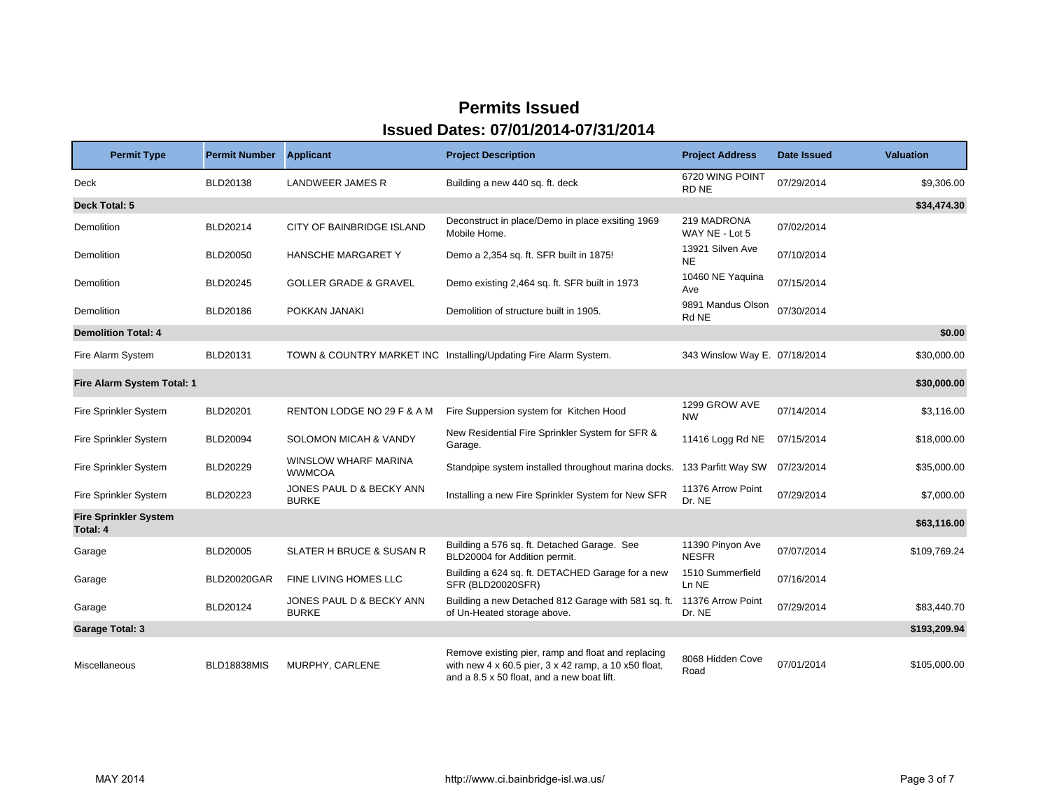| <b>Permit Type</b>                       | <b>Permit Number</b> | <b>Applicant</b>                         | <b>Project Description</b>                                                                                                                               | <b>Project Address</b>           | <b>Date Issued</b> | <b>Valuation</b> |
|------------------------------------------|----------------------|------------------------------------------|----------------------------------------------------------------------------------------------------------------------------------------------------------|----------------------------------|--------------------|------------------|
| <b>Deck</b>                              | BLD20138             | <b>LANDWEER JAMES R</b>                  | Building a new 440 sq. ft. deck                                                                                                                          | 6720 WING POINT<br>RD NE         | 07/29/2014         | \$9,306.00       |
| Deck Total: 5                            |                      |                                          |                                                                                                                                                          |                                  |                    | \$34,474.30      |
| Demolition                               | BLD20214             | CITY OF BAINBRIDGE ISLAND                | Deconstruct in place/Demo in place exsiting 1969<br>Mobile Home.                                                                                         | 219 MADRONA<br>WAY NE - Lot 5    | 07/02/2014         |                  |
| Demolition                               | <b>BLD20050</b>      | HANSCHE MARGARET Y                       | Demo a 2,354 sq. ft. SFR built in 1875!                                                                                                                  | 13921 Silven Ave<br><b>NE</b>    | 07/10/2014         |                  |
| Demolition                               | <b>BLD20245</b>      | <b>GOLLER GRADE &amp; GRAVEL</b>         | Demo existing 2,464 sq. ft. SFR built in 1973                                                                                                            | 10460 NE Yaquina<br>Ave          | 07/15/2014         |                  |
| Demolition                               | BLD20186             | POKKAN JANAKI                            | Demolition of structure built in 1905.                                                                                                                   | 9891 Mandus Olson<br>Rd NE       | 07/30/2014         |                  |
| <b>Demolition Total: 4</b>               |                      |                                          |                                                                                                                                                          |                                  |                    | \$0.00           |
| Fire Alarm System                        | BLD20131             |                                          | TOWN & COUNTRY MARKET INC Installing/Updating Fire Alarm System.                                                                                         | 343 Winslow Way E. 07/18/2014    |                    | \$30,000.00      |
| Fire Alarm System Total: 1               |                      |                                          |                                                                                                                                                          |                                  |                    | \$30,000.00      |
| Fire Sprinkler System                    | <b>BLD20201</b>      | RENTON LODGE NO 29 F & A M               | Fire Suppersion system for Kitchen Hood                                                                                                                  | 1299 GROW AVE<br><b>NW</b>       | 07/14/2014         | \$3,116.00       |
| Fire Sprinkler System                    | <b>BLD20094</b>      | SOLOMON MICAH & VANDY                    | New Residential Fire Sprinkler System for SFR &<br>Garage.                                                                                               | 11416 Logg Rd NE                 | 07/15/2014         | \$18,000.00      |
| Fire Sprinkler System                    | BLD20229             | WINSLOW WHARF MARINA<br><b>WWMCOA</b>    | Standpipe system installed throughout marina docks.                                                                                                      | 133 Parfitt Way SW               | 07/23/2014         | \$35,000.00      |
| Fire Sprinkler System                    | BLD20223             | JONES PAUL D & BECKY ANN<br><b>BURKE</b> | Installing a new Fire Sprinkler System for New SFR                                                                                                       | 11376 Arrow Point<br>Dr. NE      | 07/29/2014         | \$7,000.00       |
| <b>Fire Sprinkler System</b><br>Total: 4 |                      |                                          |                                                                                                                                                          |                                  |                    | \$63,116.00      |
| Garage                                   | <b>BLD20005</b>      | <b>SLATER H BRUCE &amp; SUSAN R</b>      | Building a 576 sq. ft. Detached Garage. See<br>BLD20004 for Addition permit.                                                                             | 11390 Pinyon Ave<br><b>NESFR</b> | 07/07/2014         | \$109.769.24     |
| Garage                                   | <b>BLD20020GAR</b>   | FINE LIVING HOMES LLC                    | Building a 624 sq. ft. DETACHED Garage for a new<br>SFR (BLD20020SFR)                                                                                    | 1510 Summerfield<br>Ln NE        | 07/16/2014         |                  |
| Garage                                   | BLD20124             | JONES PAUL D & BECKY ANN<br><b>BURKE</b> | Building a new Detached 812 Garage with 581 sq. ft.<br>of Un-Heated storage above.                                                                       | 11376 Arrow Point<br>Dr. NE      | 07/29/2014         | \$83,440.70      |
| <b>Garage Total: 3</b>                   |                      |                                          |                                                                                                                                                          |                                  |                    | \$193,209.94     |
| Miscellaneous                            | <b>BLD18838MIS</b>   | MURPHY, CARLENE                          | Remove existing pier, ramp and float and replacing<br>with new 4 x 60.5 pier, 3 x 42 ramp, a 10 x50 float,<br>and a 8.5 x 50 float, and a new boat lift. | 8068 Hidden Cove<br>Road         | 07/01/2014         | \$105,000.00     |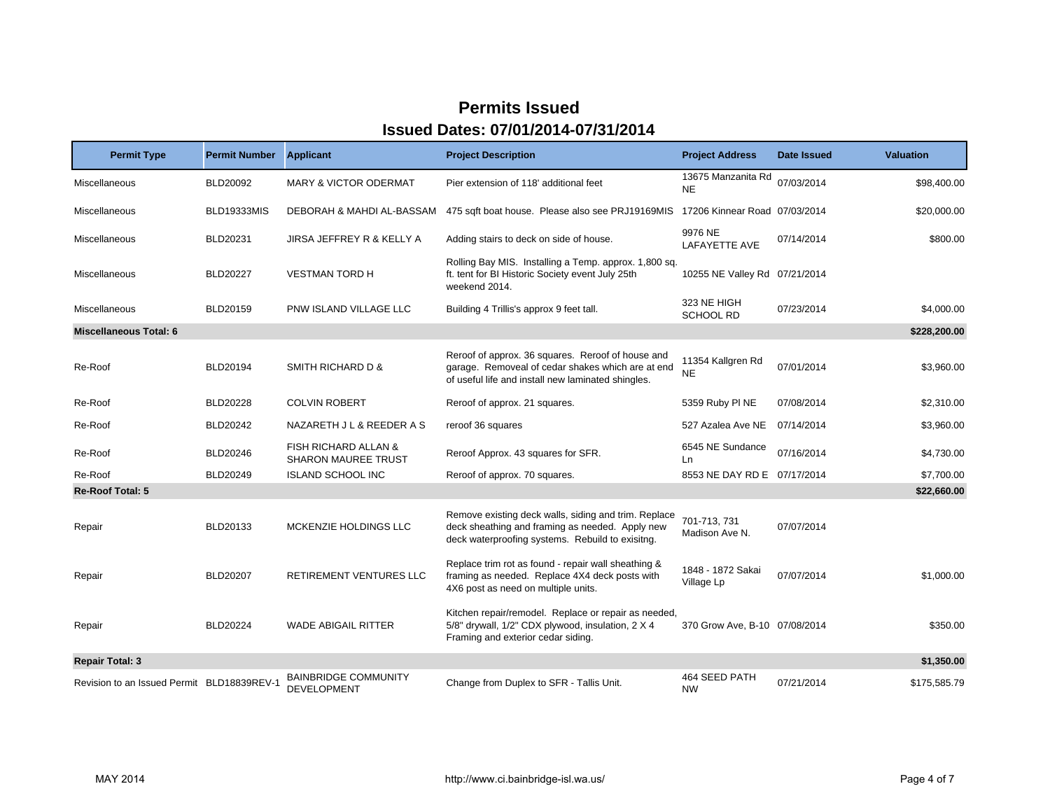| <b>Permit Type</b>                         | <b>Permit Number</b> | <b>Applicant</b>                                   | <b>Project Description</b>                                                                                                                                   | <b>Project Address</b>          | Date Issued | <b>Valuation</b> |
|--------------------------------------------|----------------------|----------------------------------------------------|--------------------------------------------------------------------------------------------------------------------------------------------------------------|---------------------------------|-------------|------------------|
| Miscellaneous                              | BLD20092             | <b>MARY &amp; VICTOR ODERMAT</b>                   | Pier extension of 118' additional feet                                                                                                                       | 13675 Manzanita Rd<br><b>NE</b> | 07/03/2014  | \$98,400.00      |
| Miscellaneous                              | BLD19333MIS          | DEBORAH & MAHDI AL-BASSAM                          | 475 sqft boat house. Please also see PRJ19169MIS                                                                                                             | 17206 Kinnear Road 07/03/2014   |             | \$20,000.00      |
| Miscellaneous                              | BLD20231             | JIRSA JEFFREY R & KELLY A                          | Adding stairs to deck on side of house.                                                                                                                      | 9976 NE<br>LAFAYETTE AVE        | 07/14/2014  | \$800.00         |
| Miscellaneous                              | <b>BLD20227</b>      | <b>VESTMAN TORD H</b>                              | Rolling Bay MIS. Installing a Temp. approx. 1,800 sq.<br>ft. tent for BI Historic Society event July 25th<br>weekend 2014.                                   | 10255 NE Valley Rd 07/21/2014   |             |                  |
| Miscellaneous                              | BLD20159             | PNW ISLAND VILLAGE LLC                             | Building 4 Trillis's approx 9 feet tall.                                                                                                                     | 323 NE HIGH<br><b>SCHOOL RD</b> | 07/23/2014  | \$4,000.00       |
| <b>Miscellaneous Total: 6</b>              |                      |                                                    |                                                                                                                                                              |                                 |             | \$228,200.00     |
| Re-Roof                                    | BLD20194             | SMITH RICHARD D &                                  | Reroof of approx. 36 squares. Reroof of house and<br>garage. Removeal of cedar shakes which are at end<br>of useful life and install new laminated shingles. | 11354 Kallgren Rd<br><b>NE</b>  | 07/01/2014  | \$3,960.00       |
| Re-Roof                                    | <b>BLD20228</b>      | <b>COLVIN ROBERT</b>                               | Reroof of approx. 21 squares.                                                                                                                                | 5359 Ruby PI NE                 | 07/08/2014  | \$2,310.00       |
| Re-Roof                                    | BLD20242             | NAZARETH J L & REEDER A S                          | reroof 36 squares                                                                                                                                            | 527 Azalea Ave NE               | 07/14/2014  | \$3,960.00       |
| Re-Roof                                    | BLD20246             | FISH RICHARD ALLAN &<br><b>SHARON MAUREE TRUST</b> | Reroof Approx. 43 squares for SFR.                                                                                                                           | 6545 NE Sundance<br>Ln          | 07/16/2014  | \$4,730.00       |
| Re-Roof                                    | BLD20249             | <b>ISLAND SCHOOL INC</b>                           | Reroof of approx. 70 squares.                                                                                                                                | 8553 NE DAY RD E 07/17/2014     |             | \$7,700.00       |
| Re-Roof Total: 5                           |                      |                                                    |                                                                                                                                                              |                                 |             | \$22,660.00      |
| Repair                                     | BLD20133             | MCKENZIE HOLDINGS LLC                              | Remove existing deck walls, siding and trim. Replace<br>deck sheathing and framing as needed. Apply new<br>deck waterproofing systems. Rebuild to exisitng.  | 701-713, 731<br>Madison Ave N.  | 07/07/2014  |                  |
| Repair                                     | <b>BLD20207</b>      | RETIREMENT VENTURES LLC                            | Replace trim rot as found - repair wall sheathing &<br>framing as needed. Replace 4X4 deck posts with<br>4X6 post as need on multiple units.                 | 1848 - 1872 Sakai<br>Village Lp | 07/07/2014  | \$1,000.00       |
| Repair                                     | <b>BLD20224</b>      | <b>WADE ABIGAIL RITTER</b>                         | Kitchen repair/remodel. Replace or repair as needed,<br>5/8" drywall, 1/2" CDX plywood, insulation, 2 X 4<br>Framing and exterior cedar siding.              | 370 Grow Ave, B-10 07/08/2014   |             | \$350.00         |
| <b>Repair Total: 3</b>                     |                      |                                                    |                                                                                                                                                              |                                 |             | \$1,350.00       |
| Revision to an Issued Permit BLD18839REV-1 |                      | <b>BAINBRIDGE COMMUNITY</b><br>DEVELOPMENT         | Change from Duplex to SFR - Tallis Unit.                                                                                                                     | 464 SEED PATH<br><b>NW</b>      | 07/21/2014  | \$175,585.79     |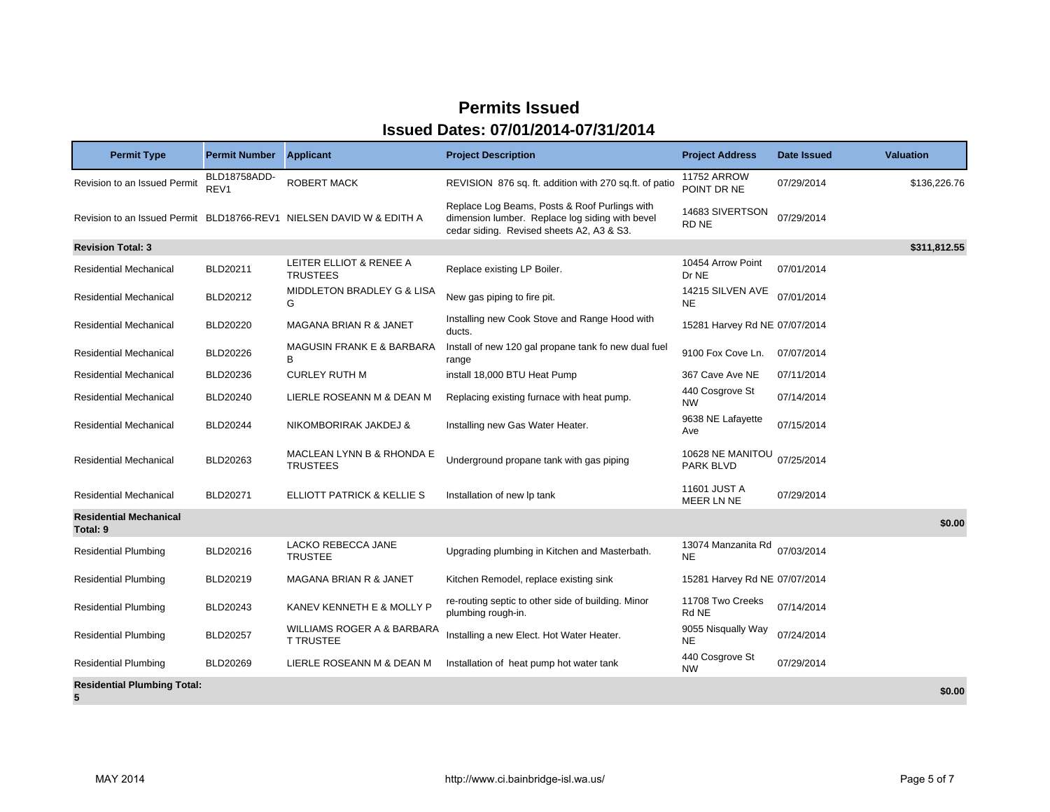| <b>Permit Type</b>                        | <b>Permit Number</b> | <b>Applicant</b>                                                     | <b>Project Description</b>                                                                                                                    | <b>Project Address</b>               | Date Issued | <b>Valuation</b> |
|-------------------------------------------|----------------------|----------------------------------------------------------------------|-----------------------------------------------------------------------------------------------------------------------------------------------|--------------------------------------|-------------|------------------|
| Revision to an Issued Permit              | BLD18758ADD-<br>REV1 | <b>ROBERT MACK</b>                                                   | REVISION 876 sq. ft. addition with 270 sq.ft. of patio                                                                                        | <b>11752 ARROW</b><br>POINT DR NE    | 07/29/2014  | \$136,226.76     |
|                                           |                      | Revision to an Issued Permit BLD18766-REV1 NIELSEN DAVID W & EDITH A | Replace Log Beams, Posts & Roof Purlings with<br>dimension lumber. Replace log siding with bevel<br>cedar siding. Revised sheets A2, A3 & S3. | 14683 SIVERTSON<br>RD NE             | 07/29/2014  |                  |
| <b>Revision Total: 3</b>                  |                      |                                                                      |                                                                                                                                               |                                      |             | \$311,812.55     |
| Residential Mechanical                    | BLD20211             | LEITER ELLIOT & RENEE A<br><b>TRUSTEES</b>                           | Replace existing LP Boiler.                                                                                                                   | 10454 Arrow Point<br>Dr NE           | 07/01/2014  |                  |
| <b>Residential Mechanical</b>             | BLD20212             | MIDDLETON BRADLEY G & LISA<br>G                                      | New gas piping to fire pit.                                                                                                                   | 14215 SILVEN AVE<br><b>NE</b>        | 07/01/2014  |                  |
| <b>Residential Mechanical</b>             | <b>BLD20220</b>      | MAGANA BRIAN R & JANET                                               | Installing new Cook Stove and Range Hood with<br>ducts.                                                                                       | 15281 Harvey Rd NE 07/07/2014        |             |                  |
| <b>Residential Mechanical</b>             | <b>BLD20226</b>      | <b>MAGUSIN FRANK E &amp; BARBARA</b><br>в                            | Install of new 120 gal propane tank fo new dual fuel<br>range                                                                                 | 9100 Fox Cove Ln.                    | 07/07/2014  |                  |
| <b>Residential Mechanical</b>             | BLD20236             | <b>CURLEY RUTH M</b>                                                 | install 18,000 BTU Heat Pump                                                                                                                  | 367 Cave Ave NE                      | 07/11/2014  |                  |
| Residential Mechanical                    | <b>BLD20240</b>      | LIERLE ROSEANN M & DEAN M                                            | Replacing existing furnace with heat pump.                                                                                                    | 440 Cosgrove St<br><b>NW</b>         | 07/14/2014  |                  |
| <b>Residential Mechanical</b>             | <b>BLD20244</b>      | NIKOMBORIRAK JAKDEJ &                                                | Installing new Gas Water Heater.                                                                                                              | 9638 NE Lafayette<br>Ave             | 07/15/2014  |                  |
| <b>Residential Mechanical</b>             | BLD20263             | MACLEAN LYNN B & RHONDA E<br><b>TRUSTEES</b>                         | Underground propane tank with gas piping                                                                                                      | 10628 NE MANITOU<br><b>PARK BLVD</b> | 07/25/2014  |                  |
| <b>Residential Mechanical</b>             | BLD20271             | ELLIOTT PATRICK & KELLIE S                                           | Installation of new Ip tank                                                                                                                   | 11601 JUST A<br>MEER LN NE           | 07/29/2014  |                  |
| <b>Residential Mechanical</b><br>Total: 9 |                      |                                                                      |                                                                                                                                               |                                      |             | \$0.00           |
| <b>Residential Plumbing</b>               | BLD20216             | LACKO REBECCA JANE<br><b>TRUSTEE</b>                                 | Upgrading plumbing in Kitchen and Masterbath.                                                                                                 | 13074 Manzanita Rd<br><b>NE</b>      | 07/03/2014  |                  |
| <b>Residential Plumbing</b>               | BLD20219             | MAGANA BRIAN R & JANET                                               | Kitchen Remodel, replace existing sink                                                                                                        | 15281 Harvey Rd NE 07/07/2014        |             |                  |
| <b>Residential Plumbing</b>               | BLD20243             | KANEV KENNETH E & MOLLY P                                            | re-routing septic to other side of building. Minor<br>plumbing rough-in.                                                                      | 11708 Two Creeks<br>Rd NE            | 07/14/2014  |                  |
| <b>Residential Plumbing</b>               | BLD20257             | WILLIAMS ROGER A & BARBARA<br><b>T TRUSTEE</b>                       | Installing a new Elect. Hot Water Heater.                                                                                                     | 9055 Nisqually Way<br><b>NE</b>      | 07/24/2014  |                  |
| <b>Residential Plumbing</b>               | BLD20269             | LIERLE ROSEANN M & DEAN M                                            | Installation of heat pump hot water tank                                                                                                      | 440 Cosgrove St<br><b>NW</b>         | 07/29/2014  |                  |
| <b>Residential Plumbing Total:</b><br>5   |                      |                                                                      |                                                                                                                                               |                                      |             | \$0.00           |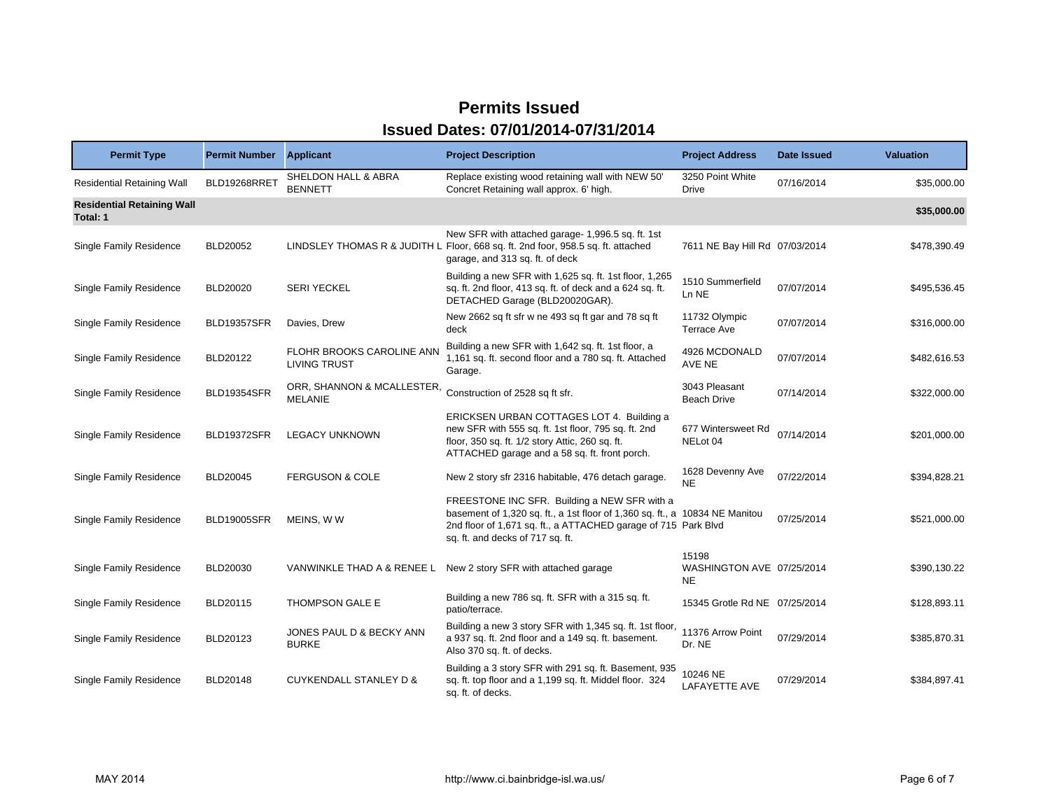| <b>Permit Type</b>                            | <b>Permit Number</b> | <b>Applicant</b>                                 | <b>Project Description</b>                                                                                                                                                                                                        | <b>Project Address</b>                          | Date Issued | <b>Valuation</b> |
|-----------------------------------------------|----------------------|--------------------------------------------------|-----------------------------------------------------------------------------------------------------------------------------------------------------------------------------------------------------------------------------------|-------------------------------------------------|-------------|------------------|
| <b>Residential Retaining Wall</b>             | BLD19268RRET         | SHELDON HALL & ABRA<br><b>BENNETT</b>            | Replace existing wood retaining wall with NEW 50'<br>Concret Retaining wall approx. 6' high.                                                                                                                                      | 3250 Point White<br>Drive                       | 07/16/2014  | \$35,000.00      |
| <b>Residential Retaining Wall</b><br>Total: 1 |                      |                                                  |                                                                                                                                                                                                                                   |                                                 |             | \$35,000.00      |
| Single Family Residence                       | BLD20052             |                                                  | New SFR with attached garage- 1,996.5 sq. ft. 1st<br>LINDSLEY THOMAS R & JUDITH L Floor, 668 sq. ft. 2nd foor, 958.5 sq. ft. attached<br>garage, and 313 sq. ft. of deck                                                          | 7611 NE Bay Hill Rd 07/03/2014                  |             | \$478,390.49     |
| Single Family Residence                       | <b>BLD20020</b>      | <b>SERI YECKEL</b>                               | Building a new SFR with 1,625 sq. ft. 1st floor, 1,265<br>sq. ft. 2nd floor, 413 sq. ft. of deck and a 624 sq. ft.<br>DETACHED Garage (BLD20020GAR).                                                                              | 1510 Summerfield<br>Ln NE                       | 07/07/2014  | \$495,536.45     |
| <b>Single Family Residence</b>                | <b>BLD19357SFR</b>   | Davies, Drew                                     | New 2662 sq ft sfr w ne 493 sq ft gar and 78 sq ft<br>deck                                                                                                                                                                        | 11732 Olympic<br><b>Terrace Ave</b>             | 07/07/2014  | \$316,000.00     |
| <b>Single Family Residence</b>                | BLD20122             | FLOHR BROOKS CAROLINE ANN<br><b>LIVING TRUST</b> | Building a new SFR with 1,642 sq. ft. 1st floor, a<br>1,161 sq. ft. second floor and a 780 sq. ft. Attached<br>Garage.                                                                                                            | 4926 MCDONALD<br>AVE NE                         | 07/07/2014  | \$482,616.53     |
| <b>Single Family Residence</b>                | <b>BLD19354SFR</b>   | ORR, SHANNON & MCALLESTER,<br><b>MELANIE</b>     | Construction of 2528 sq ft sfr.                                                                                                                                                                                                   | 3043 Pleasant<br><b>Beach Drive</b>             | 07/14/2014  | \$322,000.00     |
| <b>Single Family Residence</b>                | BLD19372SFR          | <b>LEGACY UNKNOWN</b>                            | ERICKSEN URBAN COTTAGES LOT 4. Building a<br>new SFR with 555 sq. ft. 1st floor, 795 sq. ft. 2nd<br>floor, 350 sq. ft. 1/2 story Attic, 260 sq. ft.<br>ATTACHED garage and a 58 sq. ft. front porch.                              | 677 Wintersweet Rd<br>NELot 04                  | 07/14/2014  | \$201,000.00     |
| Single Family Residence                       | BLD20045             | <b>FERGUSON &amp; COLE</b>                       | New 2 story sfr 2316 habitable, 476 detach garage.                                                                                                                                                                                | 1628 Devenny Ave<br>NE                          | 07/22/2014  | \$394,828.21     |
| <b>Single Family Residence</b>                | BLD19005SFR          | MEINS, WW                                        | FREESTONE INC SFR. Building a NEW SFR with a<br>basement of 1,320 sq. ft., a 1st floor of 1,360 sq. ft., a 10834 NE Manitou<br>2nd floor of 1,671 sq. ft., a ATTACHED garage of 715 Park Blvd<br>sq. ft. and decks of 717 sq. ft. |                                                 | 07/25/2014  | \$521,000.00     |
| Single Family Residence                       | BLD20030             | VANWINKLE THAD A & RENEE L                       | New 2 story SFR with attached garage                                                                                                                                                                                              | 15198<br>WASHINGTON AVE 07/25/2014<br><b>NE</b> |             | \$390,130.22     |
| <b>Single Family Residence</b>                | BLD20115             | THOMPSON GALE E                                  | Building a new 786 sq. ft. SFR with a 315 sq. ft.<br>patio/terrace.                                                                                                                                                               | 15345 Grotle Rd NE 07/25/2014                   |             | \$128,893.11     |
| <b>Single Family Residence</b>                | BLD20123             | JONES PAUL D & BECKY ANN<br><b>BURKE</b>         | Building a new 3 story SFR with 1,345 sq. ft. 1st floor,<br>a 937 sq. ft. 2nd floor and a 149 sq. ft. basement.<br>Also 370 sq. ft. of decks.                                                                                     | 11376 Arrow Point<br>Dr. NE                     | 07/29/2014  | \$385,870.31     |
| <b>Single Family Residence</b>                | BLD20148             | <b>CUYKENDALL STANLEY D &amp;</b>                | Building a 3 story SFR with 291 sq. ft. Basement, 935<br>sq. ft. top floor and a 1,199 sq. ft. Middel floor. 324<br>sq. ft. of decks.                                                                                             | 10246 NE<br>LAFAYETTE AVE                       | 07/29/2014  | \$384,897.41     |